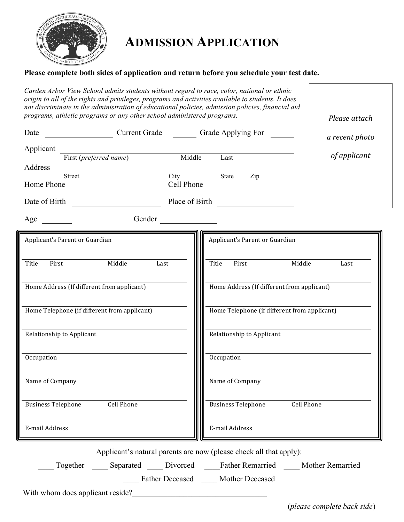

## **ADMISSION APPLICATION**

 $\Gamma$ 

## **Please complete both sides of application and return before you schedule your test date.**

| Carden Arbor View School admits students without regard to race, color, national or ethnic<br>origin to all of the rights and privileges, programs and activities available to students. It does<br>not discriminate in the administration of educational policies, admission policies, financial aid<br>programs, athletic programs or any other school administered programs. |                                                                                           | Please attach               |
|---------------------------------------------------------------------------------------------------------------------------------------------------------------------------------------------------------------------------------------------------------------------------------------------------------------------------------------------------------------------------------|-------------------------------------------------------------------------------------------|-----------------------------|
| Current Grade Current Grade Crade Applying For<br>Date                                                                                                                                                                                                                                                                                                                          |                                                                                           | a recent photo              |
| Applicant<br>First ( <i>preferred name</i> ) Middle                                                                                                                                                                                                                                                                                                                             | Last                                                                                      | of applicant                |
| Address                                                                                                                                                                                                                                                                                                                                                                         |                                                                                           |                             |
| Street<br>Home Phone                                                                                                                                                                                                                                                                                                                                                            | City<br>State<br>Zip<br>Cell Phone                                                        |                             |
| Date of Birth<br><u> 1990 - Johann Barbara, martin a</u>                                                                                                                                                                                                                                                                                                                        | Place of Birth                                                                            |                             |
| Gender<br>Age                                                                                                                                                                                                                                                                                                                                                                   |                                                                                           |                             |
| Applicant's Parent or Guardian                                                                                                                                                                                                                                                                                                                                                  | Applicant's Parent or Guardian                                                            |                             |
| Middle<br>Title<br>First<br>Last                                                                                                                                                                                                                                                                                                                                                | Title<br>Middle<br>First                                                                  | Last                        |
| Home Address (If different from applicant)                                                                                                                                                                                                                                                                                                                                      | Home Address (If different from applicant)                                                |                             |
| Home Telephone (if different from applicant)                                                                                                                                                                                                                                                                                                                                    | Home Telephone (if different from applicant)                                              |                             |
| Relationship to Applicant                                                                                                                                                                                                                                                                                                                                                       | Relationship to Applicant                                                                 |                             |
| Occupation                                                                                                                                                                                                                                                                                                                                                                      | Occupation                                                                                |                             |
| Name of Company                                                                                                                                                                                                                                                                                                                                                                 | Name of Company                                                                           |                             |
| <b>Cell Phone</b><br><b>Business Telephone</b>                                                                                                                                                                                                                                                                                                                                  | <b>Business Telephone</b><br>Cell Phone                                                   |                             |
| E-mail Address                                                                                                                                                                                                                                                                                                                                                                  | E-mail Address                                                                            |                             |
|                                                                                                                                                                                                                                                                                                                                                                                 | Applicant's natural parents are now (please check all that apply):                        |                             |
|                                                                                                                                                                                                                                                                                                                                                                                 | Together ______ Separated ______ Divorced _______Father Remarried ______ Mother Remarried |                             |
|                                                                                                                                                                                                                                                                                                                                                                                 | Father Deceased _____ Mother Deceased                                                     |                             |
| With whom does applicant reside?                                                                                                                                                                                                                                                                                                                                                |                                                                                           | (please complete back side) |